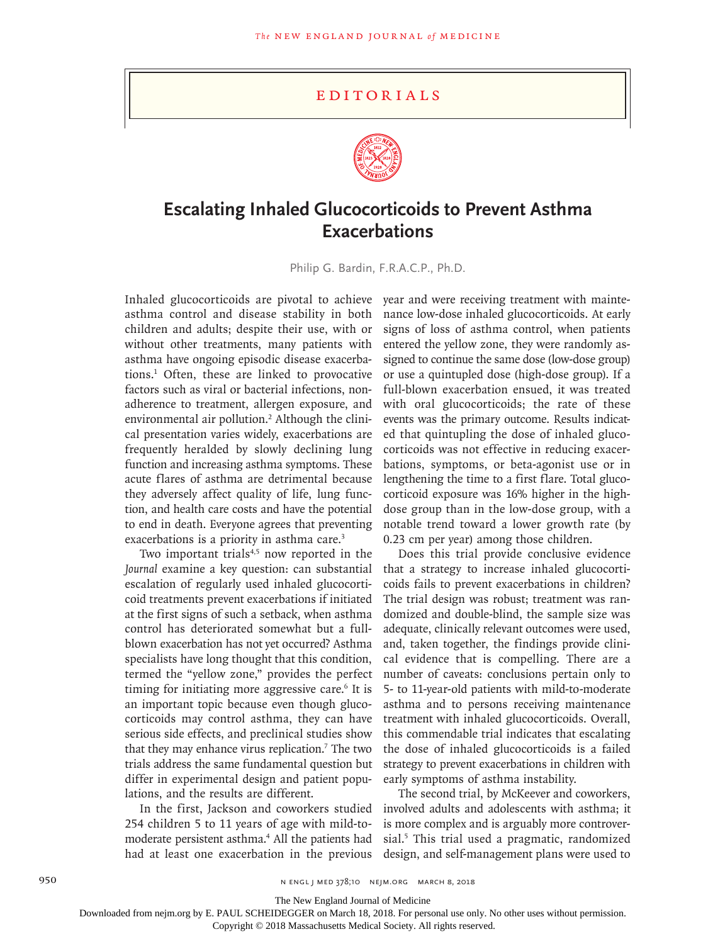## Editorials



## **Escalating Inhaled Glucocorticoids to Prevent Asthma Exacerbations**

Philip G. Bardin, F.R.A.C.P., Ph.D.

asthma control and disease stability in both children and adults; despite their use, with or without other treatments, many patients with asthma have ongoing episodic disease exacerbations.1 Often, these are linked to provocative factors such as viral or bacterial infections, nonadherence to treatment, allergen exposure, and environmental air pollution.<sup>2</sup> Although the clinical presentation varies widely, exacerbations are frequently heralded by slowly declining lung function and increasing asthma symptoms. These acute flares of asthma are detrimental because they adversely affect quality of life, lung function, and health care costs and have the potential to end in death. Everyone agrees that preventing exacerbations is a priority in asthma care.<sup>3</sup>

Two important trials $4,5$  now reported in the *Journal* examine a key question: can substantial escalation of regularly used inhaled glucocorticoid treatments prevent exacerbations if initiated at the first signs of such a setback, when asthma control has deteriorated somewhat but a fullblown exacerbation has not yet occurred? Asthma specialists have long thought that this condition, termed the "yellow zone," provides the perfect timing for initiating more aggressive care.<sup>6</sup> It is an important topic because even though glucocorticoids may control asthma, they can have serious side effects, and preclinical studies show that they may enhance virus replication.<sup>7</sup> The two trials address the same fundamental question but differ in experimental design and patient populations, and the results are different.

In the first, Jackson and coworkers studied 254 children 5 to 11 years of age with mild-tomoderate persistent asthma.<sup>4</sup> All the patients had had at least one exacerbation in the previous

Inhaled glucocorticoids are pivotal to achieve year and were receiving treatment with maintenance low-dose inhaled glucocorticoids. At early signs of loss of asthma control, when patients entered the yellow zone, they were randomly assigned to continue the same dose (low-dose group) or use a quintupled dose (high-dose group). If a full-blown exacerbation ensued, it was treated with oral glucocorticoids; the rate of these events was the primary outcome. Results indicated that quintupling the dose of inhaled glucocorticoids was not effective in reducing exacerbations, symptoms, or beta-agonist use or in lengthening the time to a first flare. Total glucocorticoid exposure was 16% higher in the highdose group than in the low-dose group, with a notable trend toward a lower growth rate (by 0.23 cm per year) among those children.

> Does this trial provide conclusive evidence that a strategy to increase inhaled glucocorticoids fails to prevent exacerbations in children? The trial design was robust; treatment was randomized and double-blind, the sample size was adequate, clinically relevant outcomes were used, and, taken together, the findings provide clinical evidence that is compelling. There are a number of caveats: conclusions pertain only to 5- to 11-year-old patients with mild-to-moderate asthma and to persons receiving maintenance treatment with inhaled glucocorticoids. Overall, this commendable trial indicates that escalating the dose of inhaled glucocorticoids is a failed strategy to prevent exacerbations in children with early symptoms of asthma instability.

> The second trial, by McKeever and coworkers, involved adults and adolescents with asthma; it is more complex and is arguably more controversial.5 This trial used a pragmatic, randomized design, and self-management plans were used to

950 n engl j med 378;10 nejm.org March 8, 2018

The New England Journal of Medicine

Downloaded from nejm.org by E. PAUL SCHEIDEGGER on March 18, 2018. For personal use only. No other uses without permission.

Copyright © 2018 Massachusetts Medical Society. All rights reserved.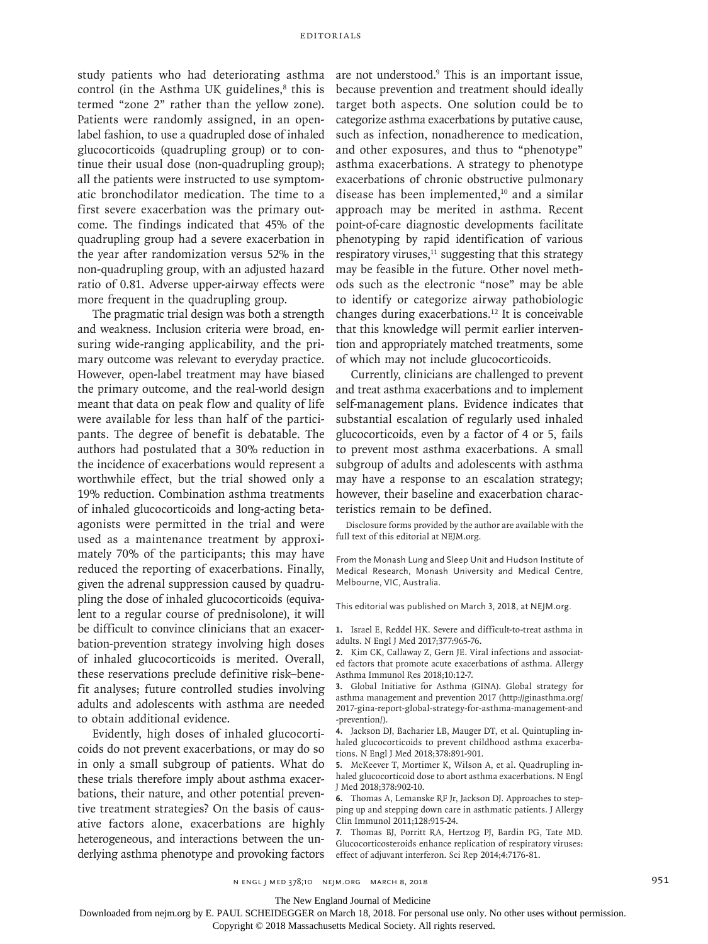study patients who had deteriorating asthma control (in the Asthma UK guidelines, $8$  this is termed "zone 2" rather than the yellow zone). Patients were randomly assigned, in an openlabel fashion, to use a quadrupled dose of inhaled glucocorticoids (quadrupling group) or to continue their usual dose (non-quadrupling group); all the patients were instructed to use symptomatic bronchodilator medication. The time to a first severe exacerbation was the primary outcome. The findings indicated that 45% of the quadrupling group had a severe exacerbation in the year after randomization versus 52% in the non-quadrupling group, with an adjusted hazard ratio of 0.81. Adverse upper-airway effects were more frequent in the quadrupling group.

The pragmatic trial design was both a strength and weakness. Inclusion criteria were broad, ensuring wide-ranging applicability, and the primary outcome was relevant to everyday practice. However, open-label treatment may have biased the primary outcome, and the real-world design meant that data on peak flow and quality of life were available for less than half of the participants. The degree of benefit is debatable. The authors had postulated that a 30% reduction in the incidence of exacerbations would represent a worthwhile effect, but the trial showed only a 19% reduction. Combination asthma treatments of inhaled glucocorticoids and long-acting betaagonists were permitted in the trial and were used as a maintenance treatment by approximately 70% of the participants; this may have reduced the reporting of exacerbations. Finally, given the adrenal suppression caused by quadrupling the dose of inhaled glucocorticoids (equivalent to a regular course of prednisolone), it will be difficult to convince clinicians that an exacerbation-prevention strategy involving high doses of inhaled glucocorticoids is merited. Overall, these reservations preclude definitive risk–benefit analyses; future controlled studies involving adults and adolescents with asthma are needed to obtain additional evidence.

Evidently, high doses of inhaled glucocorticoids do not prevent exacerbations, or may do so in only a small subgroup of patients. What do these trials therefore imply about asthma exacerbations, their nature, and other potential preventive treatment strategies? On the basis of causative factors alone, exacerbations are highly heterogeneous, and interactions between the underlying asthma phenotype and provoking factors

are not understood.<sup>9</sup> This is an important issue, because prevention and treatment should ideally target both aspects. One solution could be to categorize asthma exacerbations by putative cause, such as infection, nonadherence to medication, and other exposures, and thus to "phenotype" asthma exacerbations. A strategy to phenotype exacerbations of chronic obstructive pulmonary disease has been implemented,<sup>10</sup> and a similar approach may be merited in asthma. Recent point-of-care diagnostic developments facilitate phenotyping by rapid identification of various respiratory viruses, $11$  suggesting that this strategy may be feasible in the future. Other novel methods such as the electronic "nose" may be able to identify or categorize airway pathobiologic changes during exacerbations.12 It is conceivable that this knowledge will permit earlier intervention and appropriately matched treatments, some of which may not include glucocorticoids.

Currently, clinicians are challenged to prevent and treat asthma exacerbations and to implement self-management plans. Evidence indicates that substantial escalation of regularly used inhaled glucocorticoids, even by a factor of 4 or 5, fails to prevent most asthma exacerbations. A small subgroup of adults and adolescents with asthma may have a response to an escalation strategy; however, their baseline and exacerbation characteristics remain to be defined.

Disclosure forms provided by the author are available with the full text of this editorial at NEJM.org.

From the Monash Lung and Sleep Unit and Hudson Institute of Medical Research, Monash University and Medical Centre, Melbourne, VIC, Australia.

This editorial was published on March 3, 2018, at NEJM.org.

**1.** Israel E, Reddel HK. Severe and difficult-to-treat asthma in adults. N Engl J Med 2017;377:965-76.

**2.** Kim CK, Callaway Z, Gern JE. Viral infections and associated factors that promote acute exacerbations of asthma. Allergy Asthma Immunol Res 2018;10:12-7.

**3.** Global Initiative for Asthma (GINA). Global strategy for asthma management and prevention 2017 (http://ginasthma.org/ 2017-gina-report-global-strategy-for-asthma-management-and -prevention/).

**4.** Jackson DJ, Bacharier LB, Mauger DT, et al. Quintupling inhaled glucocorticoids to prevent childhood asthma exacerbations. N Engl J Med 2018;378:891-901.

**5.** McKeever T, Mortimer K, Wilson A, et al. Quadrupling inhaled glucocorticoid dose to abort asthma exacerbations. N Engl J Med 2018;378:902-10.

**6.** Thomas A, Lemanske RF Jr, Jackson DJ. Approaches to stepping up and stepping down care in asthmatic patients. J Allergy Clin Immunol 2011;128:915-24.

**7.** Thomas BJ, Porritt RA, Hertzog PJ, Bardin PG, Tate MD. Glucocorticosteroids enhance replication of respiratory viruses: effect of adjuvant interferon. Sci Rep 2014;4:7176-81.

n engl j med 378;10 nejm.org March 8, 2018 951

Downloaded from nejm.org by E. PAUL SCHEIDEGGER on March 18, 2018. For personal use only. No other uses without permission.

Copyright © 2018 Massachusetts Medical Society. All rights reserved.